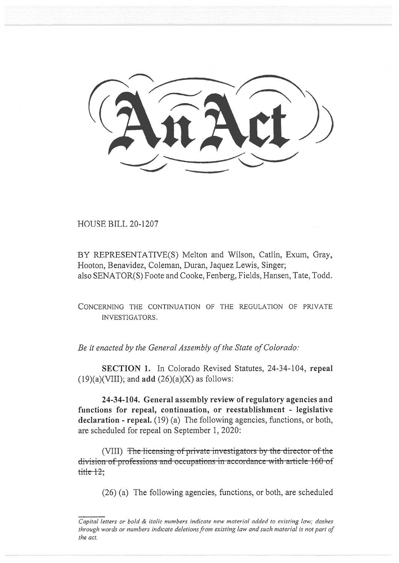HOUSE BILL 20-1207

BY REPRESENTATIVE(S) Melton and Wilson, Catlin, Exum, Gray, Hooton, Benavidez, Coleman, Duran, Jaquez Lewis, Singer; also SENATOR(S) Foote and Cooke, Fenberg, Fields, Hansen, Tate, Todd.

CONCERNING THE CONTINUATION OF THE REGULATION OF PRIVATE INVESTIGATORS.

*Be it enacted by the General Assembly of the State of Colorado:* 

SECTION 1. In Colorado Revised Statutes, 24-34-104, repeal  $(19)(a)(VIII)$ ; and add  $(26)(a)(X)$  as follows:

24-34-104. General assembly review of regulatory agencies and functions for repeal, continuation, or reestablishment - legislative declaration - repeal. (19) (a) The following agencies, functions, or both, are scheduled for repeal on September 1, 2020:

(VIII) The licensing of private investigators by the director of the division of professions and occupations in accordance with article 160 of  $\frac{1}{1}$ 

(26) (a) The following agencies, functions, or both, are scheduled

*Capital letters or bold & italic numbers indicate new material added to existing law; dashes through words or numbers indicate deletions from existing law and such material is not part of the act.*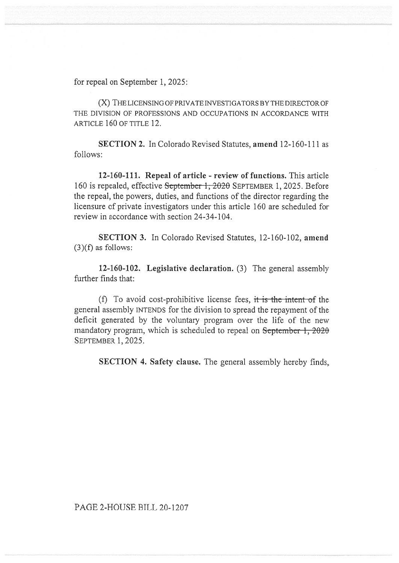for repeal on September 1, 2025:

(X) THE LICENSING OF PRIVATE INVESTIGATORS BY THE DIRECTOR OF THE DIVISION OF PROFESSIONS AND OCCUPATIONS IN ACCORDANCE WITH ARTICLE 160 OF TITLE 12.

**SECTION 2.** In Colorado Revised Statutes, **amend** 12-160-111 as follows:

**12-160-111. Repeal of article - review of functions.** This article 160 is repealed, effective September 1, 2020 SEPTEMBER 1, 2025. Before the repeal, the powers, duties, and functions of the director regarding the licensure of private investigators under this article 160 are scheduled for review in accordance with section 24-34-104.

**SECTION 3.** In Colorado Revised Statutes, 12-160-102, **amend**   $(3)(f)$  as follows:

**12-160-102. Legislative declaration.** (3) The general assembly further finds that:

(f) To avoid cost-prohibitive license fees, it is the intent of the general assembly INTENDS for the division to spread the repayment of the deficit generated by the voluntary program over the life of the new mandatory program, which is scheduled to repeal on September 1, 2020 SEPTEMBER 1, 2025.

**SECTION 4. Safety clause.** The general assembly hereby finds,

PAGE 2-HOUSE BILL 20-1207